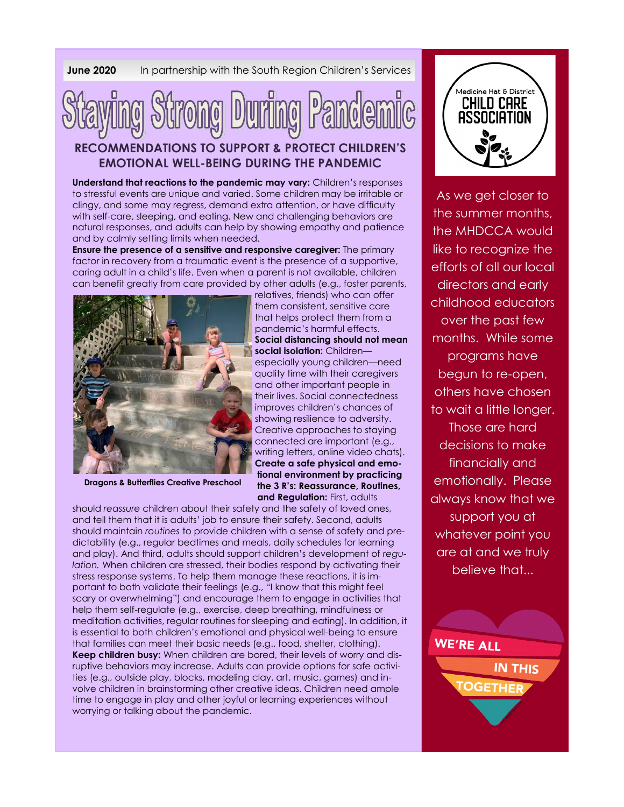**June 2020** In partnership with the South Region Children's Services



## **RECOMMENDATIONS TO SUPPORT & PROTECT CHILDREN'S EMOTIONAL WELL-BEING DURING THE PANDEMIC**

**Understand that reactions to the pandemic may vary:** Children's responses to stressful events are unique and varied. Some children may be irritable or clingy, and some may regress, demand extra attention, or have difficulty with self-care, sleeping, and eating. New and challenging behaviors are natural responses, and adults can help by showing empathy and patience and by calmly setting limits when needed.

**Ensure the presence of a sensitive and responsive caregiver:** The primary factor in recovery from a traumatic event is the presence of a supportive, caring adult in a child's life. Even when a parent is not available, children can benefit greatly from care provided by other adults (e.g., foster parents,



**Dragons & Butterflies Creative Preschool**

relatives, friends) who can offer them consistent, sensitive care that helps protect them from a pandemic's harmful effects. **Social distancing should not mean social isolation:** Childrenespecially young children—need quality time with their caregivers and other important people in their lives. Social connectedness improves children's chances of showing resilience to adversity. Creative approaches to staying connected are important (e.g., writing letters, online video chats). **Create a safe physical and emotional environment by practicing the 3 R's: Reassurance, Routines, and Regulation:** First, adults

should *reassure* children about their safety and the safety of loved ones, and tell them that it is adults' job to ensure their safety. Second, adults should maintain *routines* to provide children with a sense of safety and predictability (e.g., regular bedtimes and meals, daily schedules for learning and play). And third, adults should support children's development of *regulation.* When children are stressed, their bodies respond by activating their stress response systems. To help them manage these reactions, it is important to both validate their feelings (e.g., "I know that this might feel scary or overwhelming") and encourage them to engage in activities that help them self-regulate (e.g., exercise, deep breathing, mindfulness or meditation activities, regular routines for sleeping and eating). In addition, it is essential to both children's emotional and physical well-being to ensure that families can meet their basic needs (e.g., food, shelter, clothing). **Keep children busy:** When children are bored, their levels of worry and disruptive behaviors may increase. Adults can provide options for safe activities (e.g., outside play, blocks, modeling clay, art, music, games) and involve children in brainstorming other creative ideas. Children need ample time to engage in play and other joyful or learning experiences without worrying or talking about the pandemic.



As we get closer to the summer months, the MHDCCA would like to recognize the efforts of all our local directors and early childhood educators over the past few months. While some programs have begun to re-open, others have chosen to wait a little longer. Those are hard decisions to make financially and emotionally. Please always know that we support you at whatever point you are at and we truly believe that...

WE'RE ALL

**IN THIS**